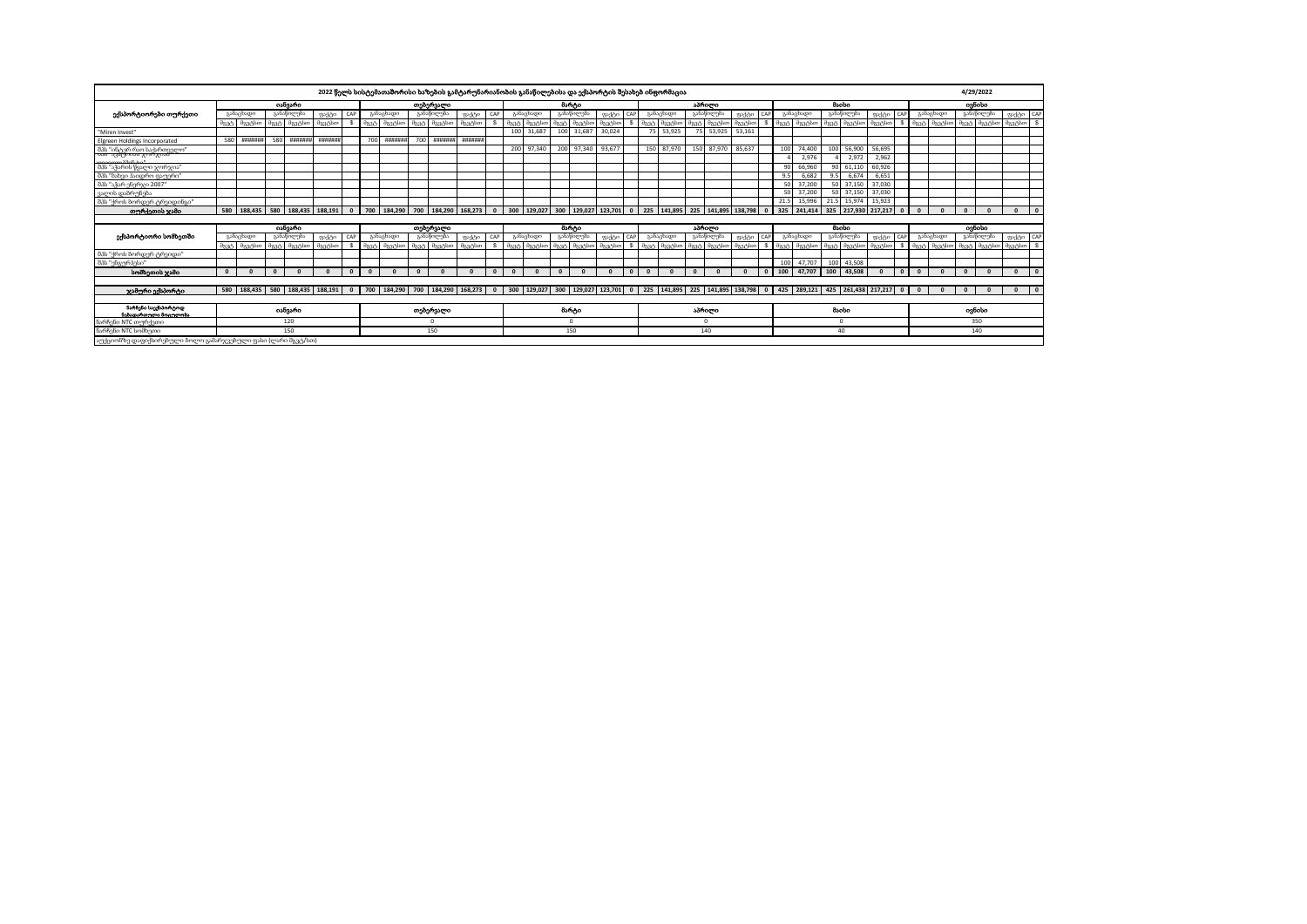|                                                               |                |            |                |            |                 |              |          |                                    |          | 2022 წელს სისტემათაშორისი ხაზების გამტარუნარიანობის განაწილებისა და ექსპორტის შესახებ ინფორმაცია |          |              |          |                                              |                |                  |         |          |          |                                                                                           |            |            |          |     |                                             |                                                                       |                 |                     |          |              |              |           |                                | 4/29/2022  |                            |
|---------------------------------------------------------------|----------------|------------|----------------|------------|-----------------|--------------|----------|------------------------------------|----------|--------------------------------------------------------------------------------------------------|----------|--------------|----------|----------------------------------------------|----------------|------------------|---------|----------|----------|-------------------------------------------------------------------------------------------|------------|------------|----------|-----|---------------------------------------------|-----------------------------------------------------------------------|-----------------|---------------------|----------|--------------|--------------|-----------|--------------------------------|------------|----------------------------|
|                                                               |                |            |                | იანვარი    |                 |              |          |                                    |          | თებერვალი                                                                                        |          |              |          |                                              |                | მარტი            |         |          |          |                                                                                           |            | აპრილი     |          |     |                                             |                                                                       |                 | <b>Baolso</b>       |          |              |              |           |                                | ogbobo     |                            |
| ექსპორტიორები თურქეთი                                         |                | განაცხადი  |                | განაწილება | ფაქტი           | CAP          |          | განაცხადი                          |          | განაწილება                                                                                       | ფაქტი    | CAF          |          | განაცხადი                                    |                | განაწილება       | gedoo   | CAP      |          | განაცხადი                                                                                 |            | განაწილება | ფაქტი    |     |                                             | განაცხადი                                                             |                 | განაწილება          | ფაქტი    | CAP          |              | განაცხადი |                                | განაწილება | ფაქტი CAP                  |
|                                                               | მგვტ           | მგვტსთ     | მგვტ           | მგვტსთ     | მგვტსთ          |              | მგვტ     | მგვტსთ                             | მგვტ     | მგვტსთ                                                                                           | მგვტსთ   |              |          | მგვტ მგვტსთ                                  |                | მგვტსთ           | dag-bot |          | მგვტ     | მგვტსთ                                                                                    |            | მგვტსთ     | მგვტსთ   |     | $\partial_{\lambda} \partial_{\alpha} \eta$ | მგვტსთ                                                                |                 | მგვტ მგვტსთ         | მგვტსთ   |              | მგვტ         | მგვტსთ    | მგვტ                           | მგვტსთ     | <b>S</b><br>მგვტსთ         |
| "Miren Invest"                                                |                |            |                |            |                 |              |          |                                    |          |                                                                                                  |          |              | 100      | 31,687                                       | 100            | 31,687           | 30,024  |          | 75       | 53,925                                                                                    | 75         | 53,925     | 53,161   |     |                                             |                                                                       |                 |                     |          |              |              |           |                                |            |                            |
| Elgreen Holdings Incorporated                                 | 580            | ---------- | 580            | ********   | ********        |              | 700      | <b>HHHHHH</b>                      | 700      | ********                                                                                         | ******** |              |          |                                              |                |                  |         |          |          |                                                                                           |            |            |          |     |                                             |                                                                       |                 |                     |          |              |              |           |                                |            |                            |
| . შპს "ინტერ რაო საქართველო"<br>- მას - ავსტოიან ჯორჯიან      |                |            |                |            |                 |              |          |                                    |          |                                                                                                  |          |              |          | 200 97,340                                   | 200            | 97,340           | 93,677  |          |          | 150 87,970                                                                                |            | 150 87,970 | 85,637   |     | 100                                         | 74,400                                                                | 100             | 56,900              | 56,695   |              |              |           |                                |            |                            |
|                                                               |                |            |                |            |                 |              |          |                                    |          |                                                                                                  |          |              |          |                                              |                |                  |         |          |          |                                                                                           |            |            |          |     |                                             | 2,976                                                                 |                 | 2.972               | 2,962    |              |              |           |                                |            |                            |
| შპს "აჭარის წყალი ჯორჯია"                                     |                |            |                |            |                 |              |          |                                    |          |                                                                                                  |          |              |          |                                              |                |                  |         |          |          |                                                                                           |            |            |          |     | 90                                          | 66,960                                                                | 90 <sub>1</sub> | 61.110              | 60.926   |              |              |           |                                |            |                            |
| შპს "ბახვი ჰაიდრო ფაუერი"                                     |                |            |                |            |                 |              |          |                                    |          |                                                                                                  |          |              |          |                                              |                |                  |         |          |          |                                                                                           |            |            |          |     | 9.5                                         | 6.682                                                                 | 9.5             | 6.674               | 6.651    |              |              |           |                                |            |                            |
| შპს "აჭარ ენერჯი 2007"                                        |                |            |                |            |                 |              |          |                                    |          |                                                                                                  |          |              |          |                                              |                |                  |         |          |          |                                                                                           |            |            |          |     | 50                                          | 37,200                                                                |                 | 50 37.150           | 37,030   |              |              |           |                                |            |                            |
| ვალის დაზრონება                                               |                |            |                |            |                 |              |          |                                    |          |                                                                                                  |          |              |          |                                              |                |                  |         |          |          |                                                                                           |            |            |          |     | 50                                          | 37,200                                                                |                 | 50 37.150           | 37.030   |              |              |           |                                |            |                            |
| შპს "ქროს ბორდერ ტრეიდინგი"                                   |                |            |                |            |                 |              |          |                                    |          |                                                                                                  |          |              |          |                                              |                |                  |         |          |          |                                                                                           |            |            |          |     | 21.5                                        | 15,996                                                                | 21.5            | 15,974              | 15.923   |              |              |           |                                |            |                            |
| თურქეთის ჯამი                                                 | 580            | 188,435    | 580            |            | 188,435 188,191 | $\mathbf{0}$ |          |                                    |          | 700 184,290 700 184,290 168,273 0                                                                |          |              |          |                                              |                |                  |         |          |          | 300   129,027   300   129,027   123,701   0   225   141,895   225   141,895   138,798   0 |            |            |          |     |                                             | 325 241.414                                                           |                 | 325 217.930 217.217 |          | $\Omega$     | $\mathbf{0}$ |           | $\mathbf{0}$                   | $\sqrt{2}$ | $\mathbf{0}$<br>$\sqrt{2}$ |
|                                                               |                |            |                |            |                 |              |          |                                    |          |                                                                                                  |          |              |          |                                              |                |                  |         |          |          |                                                                                           |            |            |          |     |                                             |                                                                       |                 |                     |          |              |              |           |                                |            |                            |
|                                                               |                |            |                | osbgsho    |                 |              |          |                                    |          | თებერვალი                                                                                        |          |              |          |                                              |                | მარტი            |         |          |          |                                                                                           |            | აპრილი     |          |     |                                             |                                                                       |                 | <b>B</b> sobo       |          |              |              |           |                                | ogbobo     |                            |
| ექსპორტიორი სომხეთში                                          |                | განაცხადი  |                | განაწილება | ფაქტი           | CAP          |          | განაცხადი                          |          | განაწილება                                                                                       | ფაქტი    | CAP          |          | განაცხადი                                    |                | განაწილება       | gadeo   | CAP      |          | განაცხადი                                                                                 |            | განაწილება | ფაქტი    | CAP |                                             | განაცხადი                                                             |                 | განაწილება          | ფაქტი    | CAP          |              | განაცხადი |                                | განაწილება | ფაქტი CAP                  |
|                                                               | $\partial$ 334 | მგვტსთ     | $\partial$ 330 | dag Abo    | მგვტსთ          |              |          | $\theta$ 334 $\theta$ 334 $\theta$ |          | $\partial$ 334 $\partial$ 334 $\partial$ 00                                                      | dageboo  |              |          | $\partial$ 334 $\partial$ 334 $\partial$ 100 | $\partial$ 334 | $\theta$ 3.3.box | მგვტსთ  |          |          | daah daahbo                                                                               | $322 - 1$  | dag Alion  | ติมาเป็น |     |                                             | asah asahko asah asahko                                               |                 |                     | dag blo  |              |              |           | მგვტ მგვტსთ მგვტ მგვტსთ მგვტსთ |            | ్య                         |
| შპს "ქროს ბორდერ ტრეიდი"                                      |                |            |                |            |                 |              |          |                                    |          |                                                                                                  |          |              |          |                                              |                |                  |         |          |          |                                                                                           |            |            |          |     |                                             |                                                                       |                 |                     |          |              |              |           |                                |            |                            |
| შპს "ენგურჰესი"                                               |                |            |                |            |                 |              |          |                                    |          |                                                                                                  |          |              |          |                                              |                |                  |         |          |          |                                                                                           |            |            |          |     | 100                                         | 47.707                                                                |                 | 100 43,508          |          |              |              |           |                                |            |                            |
| სომხეთის ჯამი                                                 | $\mathbf{0}$   |            | $\Omega$       |            |                 | $\Omega$     | $\Omega$ |                                    | $\Omega$ |                                                                                                  |          | $\sqrt{2}$   | $\Omega$ |                                              | $\Omega$       |                  |         | $\Omega$ | $\Omega$ |                                                                                           | $\sqrt{2}$ |            |          |     | 100                                         | 47.707                                                                | 100             | 43,508              | $\Omega$ | $\mathbf{0}$ | $\Omega$     |           | $\Omega$                       |            | $\mathbf{0}$<br>$\sqrt{2}$ |
| ჯამური ექსპორტი                                               | 580            | 188,435    | 580            |            | 188,435 188,191 | $\mathbf{0}$ | 700      | 184,290                            | 700      | 184,290 168,273                                                                                  |          | $\mathbf{0}$ |          | 300 129,027                                  | 300            |                  |         |          |          | 129,027 123,701 0 225 141,895                                                             |            |            |          |     |                                             | 225   141,895   138,798   0   425   289,121   425   261,438   217,217 |                 |                     |          | $\mathbf{0}$ | $\Omega$     |           | $\mathbf{0}$                   |            | $\overline{0}$             |
|                                                               |                |            |                |            |                 |              |          |                                    |          |                                                                                                  |          |              |          |                                              |                |                  |         |          |          |                                                                                           |            |            |          |     |                                             |                                                                       |                 |                     |          |              |              |           |                                |            |                            |
| ნარჩენი საექსპორტოდ<br><b>წებადართული მოიულოსა</b>            |                |            |                | იანვარი    |                 |              |          |                                    |          | თებერვალი                                                                                        |          |              |          |                                              |                | მარტი            |         |          |          |                                                                                           |            | აპრილი     |          |     |                                             |                                                                       |                 | <b>B</b> sobo       |          |              |              |           |                                | ogõobo     |                            |
| ნარჩენი NTC თურქეთი                                           |                |            |                | 120        |                 |              |          |                                    |          | $\Omega$                                                                                         |          |              |          |                                              |                | n                |         |          |          |                                                                                           |            | $\Omega$   |          |     |                                             |                                                                       |                 | $\Omega$            |          |              |              |           |                                | 350        |                            |
| ნარჩენი NTC სომხეთი                                           |                |            |                | 150        |                 |              |          |                                    |          | 150                                                                                              |          |              |          |                                              |                | 150              |         |          |          |                                                                                           |            | 140        |          |     |                                             |                                                                       |                 | 40                  |          |              |              |           |                                | 140        |                            |
| აუქციონზე დაფიქსირებული ბოლო გამარჯვებული ფასი (ლარი მგვტ/სთ) |                |            |                |            |                 |              |          |                                    |          |                                                                                                  |          |              |          |                                              |                |                  |         |          |          |                                                                                           |            |            |          |     |                                             |                                                                       |                 |                     |          |              |              |           |                                |            |                            |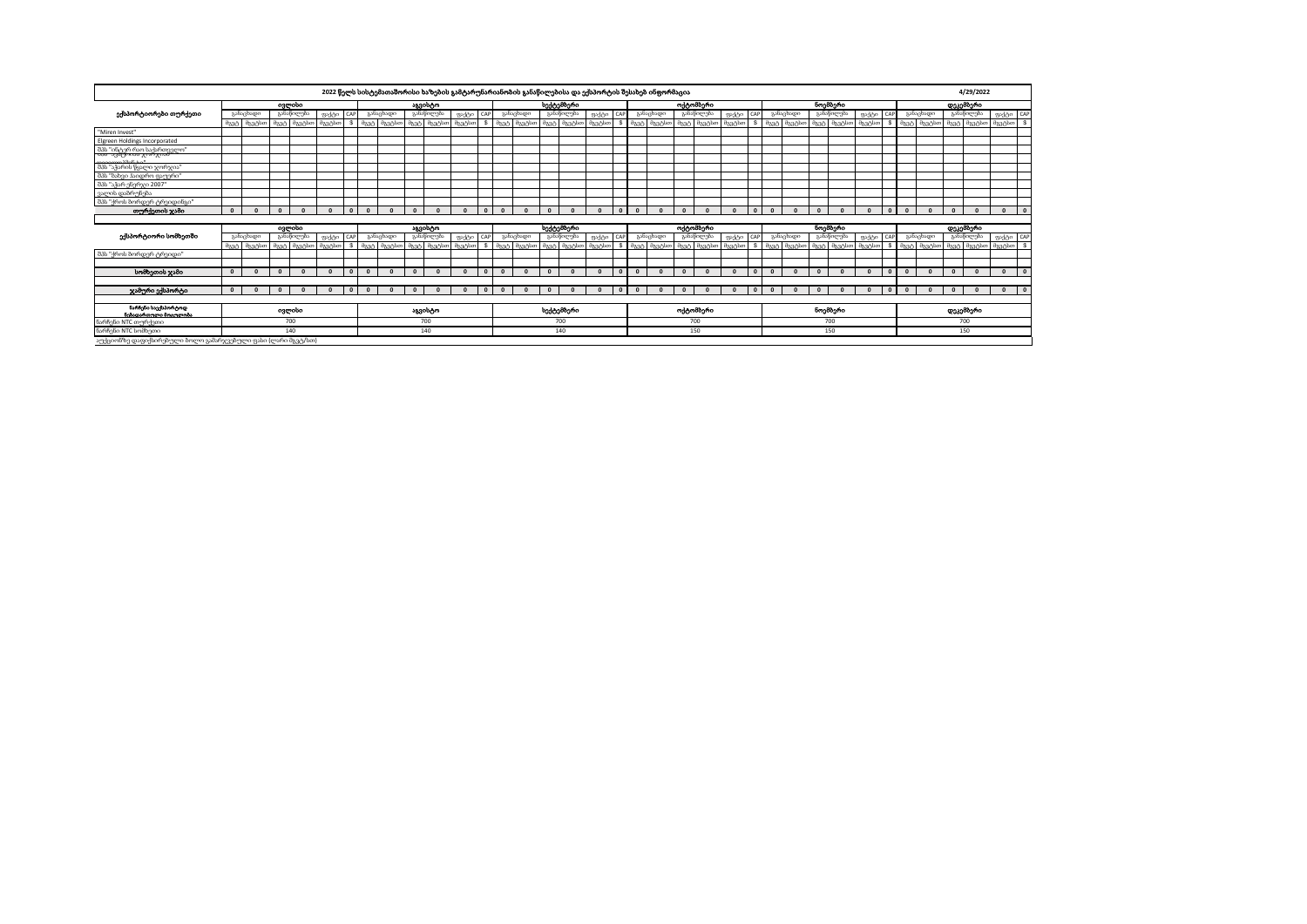|                                                               |              |             |          |             |         |              |              |           |                | 2022 წელს სისტემათაშორისი ხაზების გამტარუნარიანობის განაწილებისა და ექსპორტის შესახებ ინფორმაცია |         |          |          |           |            |                                 |          |              |          |             |                  |            |          |              |              |           |              |             |          |              |                                        |             |                                     | 4/29/2022  |                    |              |
|---------------------------------------------------------------|--------------|-------------|----------|-------------|---------|--------------|--------------|-----------|----------------|--------------------------------------------------------------------------------------------------|---------|----------|----------|-----------|------------|---------------------------------|----------|--------------|----------|-------------|------------------|------------|----------|--------------|--------------|-----------|--------------|-------------|----------|--------------|----------------------------------------|-------------|-------------------------------------|------------|--------------------|--------------|
|                                                               |              |             |          | ივლისი      |         |              |              |           |                | აგვისტო                                                                                          |         |          |          |           |            | სექტემბერი                      |          |              |          |             |                  | ოქტომბერი  |          |              |              |           |              | ნოემბერი    |          |              |                                        |             |                                     | დეკემზერი  |                    |              |
| ექსპორტიორები თურქეთი                                         |              | განაცხადი   |          | განაწილება  | ფაქტი   | CAP          |              | განაცხადი |                | განაწილება                                                                                       | അടിക    | CAP      |          | განაცხადი |            | განაწილება                      | ფაქტი    | <b>CAP</b>   |          | განაცხადი   |                  | განაწილება | അടിക     | CAP          |              | განაცხადი |              | განაწილება  | ფაქტი    | CAP          |                                        | განაცხადი   |                                     | განაწილება |                    | ფაქტი CAP    |
|                                                               |              | მგვტ მგვტსთ | მგვტ     | მგვტსთ      | მგვტსთ  | \$.          | მგვტ         | მგვტსთ    | მგვტ           | მგვტსთ                                                                                           | მგვტსთ  | <b>s</b> | მგვტ     | მგვტსთ    |            | მგვტ მგვტსთ                     | მგვტსთ   |              | მგვტ     | მგვტსთ      | მგვტ             | მგვტსთ     | მგვტსთ   |              | მგვტ         | მგვტსთ    | მგვტ         | მგვტსთ      | მგვტსთ   |              | $\partial_{\lambda} \partial_{\alpha}$ | მგვტსთ      | $\partial_{\lambda} \partial_{\nu}$ | მგვტსთ     | მგვტსთ             | s            |
| "Miren Invest"                                                |              |             |          |             |         |              |              |           |                |                                                                                                  |         |          |          |           |            |                                 |          |              |          |             |                  |            |          |              |              |           |              |             |          |              |                                        |             |                                     |            |                    |              |
| Elgreen Holdings Incorporated                                 |              |             |          |             |         |              |              |           |                |                                                                                                  |         |          |          |           |            |                                 |          |              |          |             |                  |            |          |              |              |           |              |             |          |              |                                        |             |                                     |            |                    |              |
| . შპს "ინტერ რაო საქართველო"<br>- თა - ავსტოიან ჯორჯიან       |              |             |          |             |         |              |              |           |                |                                                                                                  |         |          |          |           |            |                                 |          |              |          |             |                  |            |          |              |              |           |              |             |          |              |                                        |             |                                     |            |                    |              |
| შპს "აჭარის წყალი ჯორჯია"                                     |              |             |          |             |         |              |              |           |                |                                                                                                  |         |          |          |           |            |                                 |          |              |          |             |                  |            |          |              |              |           |              |             |          |              |                                        |             |                                     |            |                    |              |
| შპს "ბახვი ჰაიდრო ფაუერი"                                     |              |             |          |             |         |              |              |           |                |                                                                                                  |         |          |          |           |            |                                 |          |              |          |             |                  |            |          |              |              |           |              |             |          |              |                                        |             |                                     |            |                    |              |
| შპს "აჭარ ენერჯი 2007"                                        |              |             |          |             |         |              |              |           |                |                                                                                                  |         |          |          |           |            |                                 |          |              |          |             |                  |            |          |              |              |           |              |             |          |              |                                        |             |                                     |            |                    |              |
| ვალის დაბრუნება                                               |              |             |          |             |         |              |              |           |                |                                                                                                  |         |          |          |           |            |                                 |          |              |          |             |                  |            |          |              |              |           |              |             |          |              |                                        |             |                                     |            |                    |              |
| შპს "ქროს ბორდერ ტრეიდინგი"                                   |              |             |          |             |         |              |              |           |                |                                                                                                  |         |          |          |           |            |                                 |          |              |          |             |                  |            |          |              |              |           |              |             |          |              |                                        |             |                                     |            |                    |              |
| თურქეთის ჯამი                                                 | $\Omega$     | $\Omega$    | $\Omega$ |             |         | $\Omega$     | $\Omega$     |           | $\sqrt{2}$     |                                                                                                  |         | $\Omega$ | $\Omega$ |           | $\sqrt{2}$ |                                 |          | $\Omega$     | $\Omega$ |             | $\Omega$         |            |          | $\sqrt{2}$   | $\mathbf{r}$ |           | $\mathbf{r}$ |             |          | $\Omega$     | $\Omega$                               |             | $\Omega$                            | $\sqrt{2}$ | $\Omega$           | $\mathbf{0}$ |
|                                                               |              |             |          |             |         |              |              |           |                |                                                                                                  |         |          |          |           |            |                                 |          |              |          |             |                  |            |          |              |              |           |              |             |          |              |                                        |             |                                     |            |                    |              |
|                                                               |              |             |          | oggodio     |         |              |              |           |                | <b>sagotom</b>                                                                                   |         |          |          |           |            | სექტემბერი                      |          |              |          |             |                  | ოქტომბერი  |          |              |              |           |              | ნოემბერი    |          |              |                                        |             |                                     | დეკემბერი  |                    |              |
| ექსპორტიორი სომხეთში                                          |              | განაცხადი   |          | განაწილება  | ფაქტი   | CAP          |              | განაცხადი |                | განაწილება                                                                                       | അടിക    | CAP      |          | განაცხადი |            | განაწილება                      | ფაქტი    | CAP          |          | განაცხადი   |                  | განაწილება | അടിക     |              |              | განაცხადი |              | განაწილება  | ფაქტი    | CAP          |                                        | განაცხადი   |                                     | განაწილება |                    | ფაქტი CAP    |
|                                                               |              | მგვტ მგვტსთ |          | მგვტ მგვტსთ | codess6 | s.           |              | dag blo   | $\partial$ 334 | მგვტსთ                                                                                           | dagebox |          |          | მგეტსთ    |            | $\partial$ 334 $\partial$ 334bo | dag Abon | s            |          | მგვტ მგვტსთ | $\partial$ 3.3.5 | ติวาลังดา  | მგვტსთ   |              | 8225         | მგვტსთ    |              | მგვტ მგვტსთ | daa-bloo | s.           |                                        | მგვტ მგვტსთ |                                     |            | მგვტ მგვტსთ მგვტსთ | <b>S</b>     |
| შპს "ქროს ბორდერ ტრეიდი"                                      |              |             |          |             |         |              |              |           |                |                                                                                                  |         |          |          |           |            |                                 |          |              |          |             |                  |            |          |              |              |           |              |             |          |              |                                        |             |                                     |            |                    |              |
|                                                               |              |             |          |             |         |              |              |           |                |                                                                                                  |         |          |          |           |            |                                 |          |              |          |             |                  |            |          |              |              |           |              |             |          |              |                                        |             |                                     |            |                    |              |
| სომხეთის ჯამი                                                 | $\mathbf{0}$ |             | $\Omega$ |             |         | $\Omega$     | $\Omega$     |           | $\sqrt{2}$     |                                                                                                  |         | $\Omega$ |          |           | $\Omega$   |                                 |          | $\Omega$     | $\Omega$ |             | $\Omega$         |            | $\Omega$ | $\Omega$     | $\mathbf{r}$ |           | $\Omega$     |             |          | $\Omega$     | $\mathbf{0}$                           |             | $\mathbf{0}$                        |            | $\Omega$           | $\mathbf{0}$ |
|                                                               | $\Omega$     |             | $\Omega$ |             |         | $\mathbf{0}$ | $\mathbf{0}$ |           | $\sqrt{2}$     |                                                                                                  |         | $\Omega$ | $\Omega$ |           | $\Omega$   |                                 |          | $\mathbf{0}$ | $\Omega$ |             | $\Omega$         |            | $\Omega$ | $\mathbf{r}$ |              |           |              |             |          | $\mathbf{0}$ | $\mathbf{0}$                           |             | $\Omega$                            |            | $\mathbf{0}$       | $\mathbf{0}$ |
| ჯამური ექსპორტი                                               |              |             |          |             |         |              |              |           |                |                                                                                                  |         |          |          |           |            |                                 |          |              |          |             |                  |            |          |              |              |           | $\mathbf{0}$ |             |          |              |                                        |             |                                     |            |                    |              |
| ნარჩენი საექსპორტოდ<br>ნებადართოლი მოიოლობა                   |              |             |          | ივლისი      |         |              |              |           |                | აგვისტო                                                                                          |         |          |          |           |            | სექტემბერი                      |          |              |          |             |                  | ოქტომბერი  |          |              |              |           |              | ნოემბერი    |          |              |                                        |             |                                     | დეკემზერი  |                    |              |
| ნარჩენი NTC თურქეთი                                           |              |             | 700      |             |         |              |              |           | 700            |                                                                                                  |         |          |          |           | 700        |                                 |          |              |          |             | 700              |            |          |              |              |           | 700          |             |          |              |                                        |             | 700                                 |            |                    |              |
| ნარჩენი NTC სომხეთი                                           |              |             |          | 140         |         |              |              |           |                | 140                                                                                              |         |          |          |           |            | 140                             |          |              |          |             |                  | 150        |          |              |              |           |              | 150         |          |              |                                        |             |                                     | 150        |                    |              |
| აუქციონზე დაფიქსირებული ბოლო გამარჯვებული ფასი (ლარი მგვტ/სთ) |              |             |          |             |         |              |              |           |                |                                                                                                  |         |          |          |           |            |                                 |          |              |          |             |                  |            |          |              |              |           |              |             |          |              |                                        |             |                                     |            |                    |              |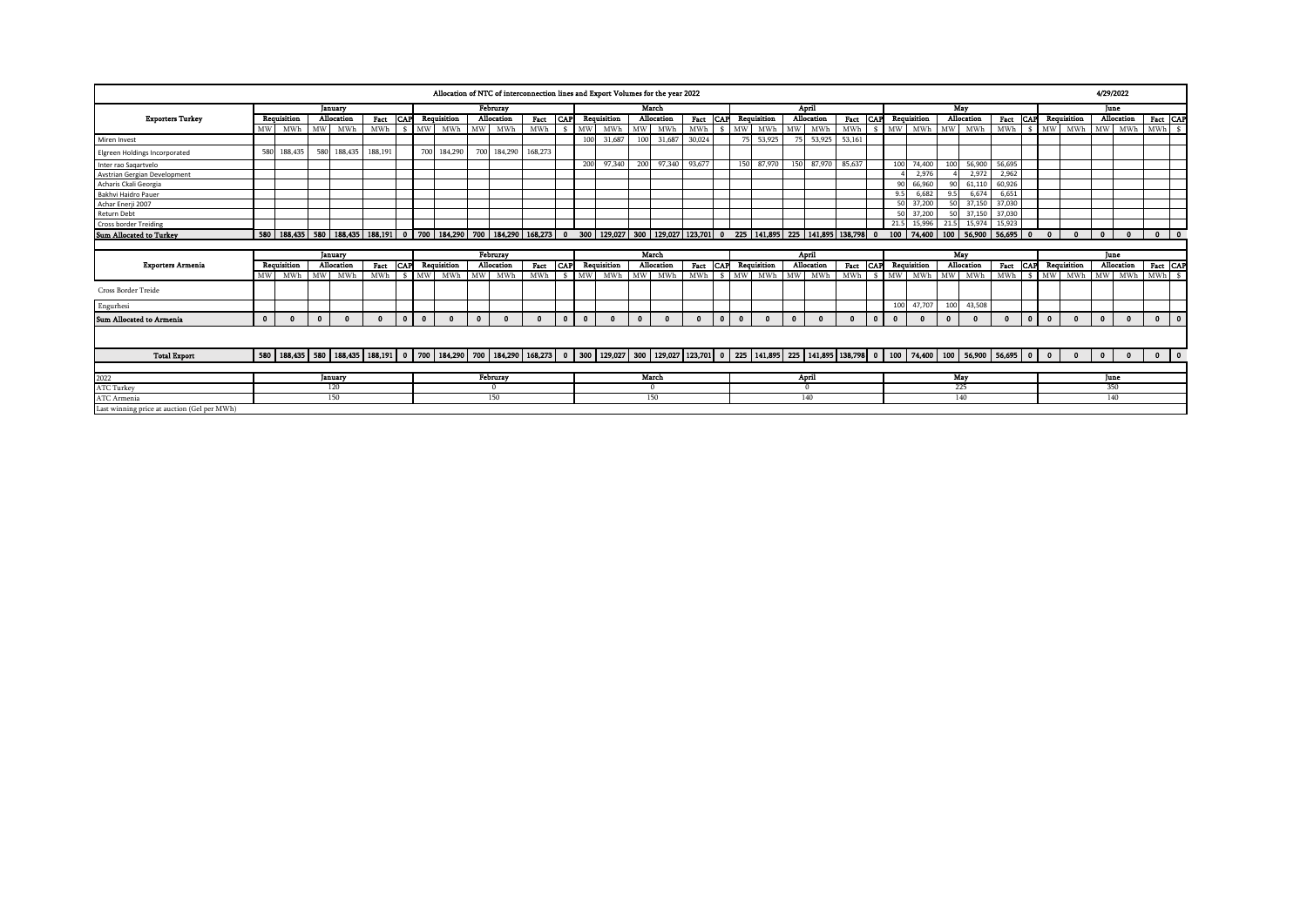|                                             |                                                                                                                                                                                   |             |             |              |          |            |             |                                                                                                                                                                                                                               |              | Allocation of NTC of interconnection lines and Export Volumes for the year 2022 |         |              |              |             |              |            |              |            |              |             |              |               |               |              |              |                                          |             |            |              |              |              |              |              |              | 4/29/2022    |           |           |
|---------------------------------------------|-----------------------------------------------------------------------------------------------------------------------------------------------------------------------------------|-------------|-------------|--------------|----------|------------|-------------|-------------------------------------------------------------------------------------------------------------------------------------------------------------------------------------------------------------------------------|--------------|---------------------------------------------------------------------------------|---------|--------------|--------------|-------------|--------------|------------|--------------|------------|--------------|-------------|--------------|---------------|---------------|--------------|--------------|------------------------------------------|-------------|------------|--------------|--------------|--------------|--------------|--------------|--------------|--------------|-----------|-----------|
|                                             |                                                                                                                                                                                   |             |             | January      |          |            |             |                                                                                                                                                                                                                               |              | Februray                                                                        |         |              |              |             |              | March      |              |            |              |             |              | April         |               |              |              |                                          |             | May        |              |              |              |              |              |              | June         |           |           |
| <b>Exporters Turkey</b>                     |                                                                                                                                                                                   | Requisition |             | Allocation   | Fact     | <b>CAP</b> |             | Requisition                                                                                                                                                                                                                   |              | Allocation                                                                      | Fact    | <b>CAP</b>   |              | Requisition |              | Allocation | Fact         | <b>CAP</b> |              | Requisition |              | Allocation    | Fact CAP      |              |              | Requisition                              |             | Allocation |              | Fact         | <b>CAP</b>   |              | Requisition  |              | Allocation   |           | Fact CAP  |
|                                             | MW                                                                                                                                                                                | MWh         |             | MW MWI       | MWh      |            |             | \$ MW MWh                                                                                                                                                                                                                     | <b>MW</b>    | MWh                                                                             | MWh     | $\mathbf{s}$ | <b>MW</b>    | MWh         | MW           | MWh        | MWh          | s.         | <b>MW</b>    | MWh         | MW.          | MWh           | MWh           |              |              | \$ MW MWh                                | <b>MW</b>   |            | MWh          | MWh \$ MW    |              |              | MWh          |              | MW MWh       | MWh \$    |           |
| Miren Invest                                |                                                                                                                                                                                   |             |             |              |          |            |             |                                                                                                                                                                                                                               |              |                                                                                 |         |              | 100          | 31,687      | 100          | 31,687     | 30,024       |            | 75           | 53,925      | 75           | 53,925        | 53,161        |              |              |                                          |             |            |              |              |              |              |              |              |              |           |           |
| <b>Elgreen Holdings Incorporated</b>        | 580                                                                                                                                                                               | 188,435     | 580         | 188,435      | 188,191  |            | 700         | 184,290                                                                                                                                                                                                                       |              | 700 184,290                                                                     | 168,273 |              |              |             |              |            |              |            |              |             |              |               |               |              |              |                                          |             |            |              |              |              |              |              |              |              |           |           |
| Inter rao Sagartvelo                        |                                                                                                                                                                                   |             |             |              |          |            |             |                                                                                                                                                                                                                               |              |                                                                                 |         |              | 200          | 97,340      | 200          | 97,340     | 93,677       |            | 150          | 87,970      | 150          | 87,970 85,637 |               |              |              | 100 74,400                               | 10(         |            | 56,900       | 56,695       |              |              |              |              |              |           |           |
| Avstrian Gergian Development                |                                                                                                                                                                                   |             |             |              |          |            |             |                                                                                                                                                                                                                               |              |                                                                                 |         |              |              |             |              |            |              |            |              |             |              |               |               |              |              | 2,976                                    |             |            | 2,972        | 2,962        |              |              |              |              |              |           |           |
| Acharis Ckali Georgia                       |                                                                                                                                                                                   |             |             |              |          |            |             |                                                                                                                                                                                                                               |              |                                                                                 |         |              |              |             |              |            |              |            |              |             |              |               |               |              | $90^{\circ}$ | 66,960                                   | $\circ$     |            | 61,110       | 60,926       |              |              |              |              |              |           |           |
| Bakhvi Haidro Pauer                         |                                                                                                                                                                                   |             |             |              |          |            |             |                                                                                                                                                                                                                               |              |                                                                                 |         |              |              |             |              |            |              |            |              |             |              |               |               |              | 9.5          | 6.682                                    | 9.5         |            | 6.674        | 6,651        |              |              |              |              |              |           |           |
| Achar Enerji 2007                           |                                                                                                                                                                                   |             |             |              |          |            |             |                                                                                                                                                                                                                               |              |                                                                                 |         |              |              |             |              |            |              |            |              |             |              |               |               |              | 50           | 37,200                                   |             | 50         | 37.150       | 37,030       |              |              |              |              |              |           |           |
| Return Debt                                 |                                                                                                                                                                                   |             |             |              |          |            |             |                                                                                                                                                                                                                               |              |                                                                                 |         |              |              |             |              |            |              |            |              |             |              |               |               |              | 50           | 37,200                                   |             | E          | 37.150       | 37,030       |              |              |              |              |              |           |           |
| <b>Cross border Treiding</b>                |                                                                                                                                                                                   |             |             |              |          |            |             |                                                                                                                                                                                                                               |              |                                                                                 |         |              |              |             |              |            |              |            |              |             |              |               |               |              |              | 21.5 15,996                              | 21.5        |            | 15,974       | 15,923       |              |              |              |              |              |           |           |
| Sum Allocated to Turkey                     |                                                                                                                                                                                   |             |             |              |          |            |             |                                                                                                                                                                                                                               |              |                                                                                 |         |              |              |             |              |            |              |            |              |             |              |               |               |              |              | 100   74,400   100   56,900   56,695   0 |             |            |              |              |              | $\mathbf{r}$ | $\mathbf{r}$ | $\mathbf{0}$ | $\Omega$     |           | $0$ 0     |
|                                             | 580   188,435   580   188,435   188,191   0   700   184,290   700   184,290   168,273   0 300   129,027   300   129,027   123,701   0 225   141,895   225   141,895   138,798   0 |             |             |              |          |            |             |                                                                                                                                                                                                                               |              |                                                                                 |         |              |              |             |              |            |              |            |              |             |              |               |               |              |              |                                          |             |            |              |              |              |              |              |              |              |           |           |
|                                             |                                                                                                                                                                                   |             |             | January      |          |            |             |                                                                                                                                                                                                                               |              | Februray                                                                        |         |              |              |             |              | March      |              |            |              |             |              | April         |               |              |              |                                          |             | May        |              |              |              |              |              |              | June         |           |           |
| <b>Exporters Armenia</b>                    |                                                                                                                                                                                   | Requisition |             | Allocation   | Fact     |            |             | <b>CAP</b> Requisition                                                                                                                                                                                                        |              | Allocation                                                                      | Fact    | <b>CAP</b>   |              | Requisition |              | Allocation | Fact         | <b>CAP</b> |              | Requisition |              | Allocation    | Fact CAP      |              |              | Requisition                              |             | Allocation |              | Fact         | <b>CAP</b>   |              | Requisition  |              | Allocation   |           | Fact CAP  |
|                                             | <b>MW</b>                                                                                                                                                                         | MWh         | MW I        | MWI          | MWh      |            |             | \$ MW MWh                                                                                                                                                                                                                     | <b>MW</b>    | MWh                                                                             | MWh     |              |              | \$ MW MWh   | MW           | MWh        | MWh          |            |              | \$ MW MWh   |              | MW MWh        | MWh \$ MW MWh |              |              |                                          | MW          |            | MWh          | MWh \$ MW    |              |              | MWh          |              | MW MWh       | MWh \$    |           |
| <b>Cross Border Treide</b>                  |                                                                                                                                                                                   |             |             |              |          |            |             |                                                                                                                                                                                                                               |              |                                                                                 |         |              |              |             |              |            |              |            |              |             |              |               |               |              |              |                                          |             |            |              |              |              |              |              |              |              |           |           |
| Engurhesi                                   |                                                                                                                                                                                   |             |             |              |          |            |             |                                                                                                                                                                                                                               |              |                                                                                 |         |              |              |             |              |            |              |            |              |             |              |               |               |              | 100          | 47,707                                   | 100         |            | 43,508       |              |              |              |              |              |              |           |           |
| <b>Sum Allocated to Armenia</b>             | $\mathbf{0}$                                                                                                                                                                      | $\Omega$    | $\mathbf 0$ | $\mathbf{0}$ | $\Omega$ | $\bullet$  | $\mathbf 0$ |                                                                                                                                                                                                                               | $\mathbf{0}$ | $\Omega$                                                                        |         | $\mathbf{0}$ | $\mathbf{0}$ | $\Omega$    | $\mathbf{0}$ | $\Omega$   | $\mathbf{0}$ | $\bullet$  | $\mathbf{0}$ | $\Omega$    | $\mathbf{0}$ |               | $\Omega$      | $\mathbf{0}$ | $\mathbf 0$  | $\mathbf{0}$                             | $\mathbf 0$ |            | $\mathbf{0}$ | $\mathbf{0}$ | $\mathbf{0}$ | $\mathbf{0}$ | $\mathbf{0}$ | $\mathbf{0}$ | $\Omega$     | $\bullet$ | $\bullet$ |
|                                             |                                                                                                                                                                                   |             |             |              |          |            |             |                                                                                                                                                                                                                               |              |                                                                                 |         |              |              |             |              |            |              |            |              |             |              |               |               |              |              |                                          |             |            |              |              |              |              |              |              |              |           |           |
| <b>Total Export</b>                         |                                                                                                                                                                                   |             |             |              |          |            |             | 580   188,435   580   188,435   188,191   0   700   184,290   700   184,290   168,279   0   100   200   129,027   300   129,027   129,027   123,701   0   25   141,895   225   141,895   138,798   0   100   74,400   100   5 |              |                                                                                 |         |              |              |             |              |            |              |            |              |             |              |               |               |              |              |                                          |             |            |              |              |              | $\mathbf{0}$ | $\bullet$    | $\Omega$     | $\mathbf{0}$ |           | $0$ 0     |
|                                             |                                                                                                                                                                                   |             |             |              |          |            |             |                                                                                                                                                                                                                               |              |                                                                                 |         |              |              |             |              |            |              |            |              |             |              |               |               |              |              |                                          |             |            |              |              |              |              |              |              |              |           |           |
| 2022<br>ATC Turkey                          |                                                                                                                                                                                   |             |             | January      |          |            |             |                                                                                                                                                                                                                               |              | Februray                                                                        |         |              |              |             |              | March      |              |            |              |             |              | April         |               |              |              |                                          |             | May        |              |              |              |              |              |              | June         |           |           |
|                                             | 120                                                                                                                                                                               |             |             |              |          |            |             |                                                                                                                                                                                                                               |              | 0                                                                               |         |              |              |             |              | $\Omega$   |              |            |              |             |              | $\Omega$      |               |              |              |                                          |             | 225        |              |              |              |              |              |              | 350          |           |           |
| ATC Armenia                                 |                                                                                                                                                                                   |             |             | 150          |          |            |             |                                                                                                                                                                                                                               |              | 150                                                                             |         |              |              |             |              | 150        |              |            |              |             |              | 140           |               |              |              |                                          |             | 140        |              |              |              |              |              |              | 140          |           |           |
| Last winning price at auction (Gel per MWh) |                                                                                                                                                                                   |             |             |              |          |            |             |                                                                                                                                                                                                                               |              |                                                                                 |         |              |              |             |              |            |              |            |              |             |              |               |               |              |              |                                          |             |            |              |              |              |              |              |              |              |           |           |